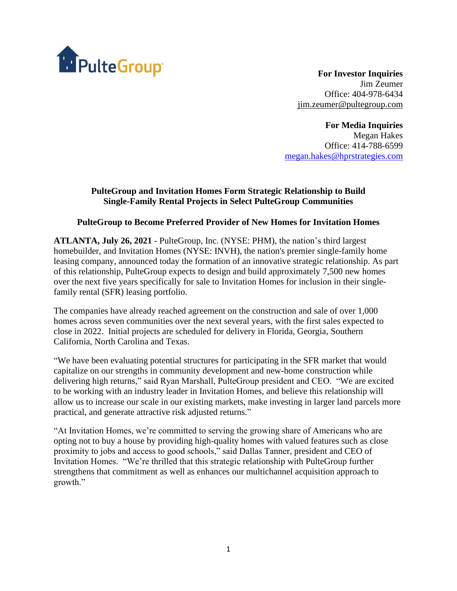

**For Investor Inquiries** Jim Zeumer Office: 404-978-6434 [jim.zeumer@pultegroup.com](mailto:jim.zeumer@pultegroup.com)

**For Media Inquiries** Megan Hakes Office: 414-788-6599 [megan.hakes@hprstrategies.com](mailto:megan.hakes@hprstrategies.com)

# **PulteGroup and Invitation Homes Form Strategic Relationship to Build Single-Family Rental Projects in Select PulteGroup Communities**

## **PulteGroup to Become Preferred Provider of New Homes for Invitation Homes**

**ATLANTA, July 26, 2021** - PulteGroup, Inc. (NYSE: PHM), the nation's third largest homebuilder, and Invitation Homes (NYSE: INVH), the nation's premier single-family home leasing company, announced today the formation of an innovative strategic relationship. As part of this relationship, PulteGroup expects to design and build approximately 7,500 new homes over the next five years specifically for sale to Invitation Homes for inclusion in their singlefamily rental (SFR) leasing portfolio.

The companies have already reached agreement on the construction and sale of over 1,000 homes across seven communities over the next several years, with the first sales expected to close in 2022. Initial projects are scheduled for delivery in Florida, Georgia, Southern California, North Carolina and Texas.

"We have been evaluating potential structures for participating in the SFR market that would capitalize on our strengths in community development and new-home construction while delivering high returns," said Ryan Marshall, PulteGroup president and CEO. "We are excited to be working with an industry leader in Invitation Homes, and believe this relationship will allow us to increase our scale in our existing markets, make investing in larger land parcels more practical, and generate attractive risk adjusted returns."

"At Invitation Homes, we're committed to serving the growing share of Americans who are opting not to buy a house by providing high-quality homes with valued features such as close proximity to jobs and access to good schools," said Dallas Tanner, president and CEO of Invitation Homes. "We're thrilled that this strategic relationship with PulteGroup further strengthens that commitment as well as enhances our multichannel acquisition approach to growth."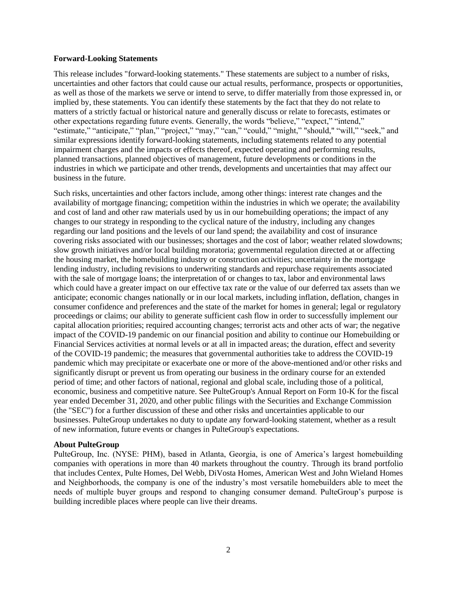#### **Forward-Looking Statements**

This release includes "forward-looking statements." These statements are subject to a number of risks, uncertainties and other factors that could cause our actual results, performance, prospects or opportunities, as well as those of the markets we serve or intend to serve, to differ materially from those expressed in, or implied by, these statements. You can identify these statements by the fact that they do not relate to matters of a strictly factual or historical nature and generally discuss or relate to forecasts, estimates or other expectations regarding future events. Generally, the words "believe," "expect," "intend," "estimate," "anticipate," "plan," "project," "may," "can," "could," "might," "should," "will," "seek," and similar expressions identify forward-looking statements, including statements related to any potential impairment charges and the impacts or effects thereof, expected operating and performing results, planned transactions, planned objectives of management, future developments or conditions in the industries in which we participate and other trends, developments and uncertainties that may affect our business in the future.

Such risks, uncertainties and other factors include, among other things: interest rate changes and the availability of mortgage financing; competition within the industries in which we operate; the availability and cost of land and other raw materials used by us in our homebuilding operations; the impact of any changes to our strategy in responding to the cyclical nature of the industry, including any changes regarding our land positions and the levels of our land spend; the availability and cost of insurance covering risks associated with our businesses; shortages and the cost of labor; weather related slowdowns; slow growth initiatives and/or local building moratoria; governmental regulation directed at or affecting the housing market, the homebuilding industry or construction activities; uncertainty in the mortgage lending industry, including revisions to underwriting standards and repurchase requirements associated with the sale of mortgage loans; the interpretation of or changes to tax, labor and environmental laws which could have a greater impact on our effective tax rate or the value of our deferred tax assets than we anticipate; economic changes nationally or in our local markets, including inflation, deflation, changes in consumer confidence and preferences and the state of the market for homes in general; legal or regulatory proceedings or claims; our ability to generate sufficient cash flow in order to successfully implement our capital allocation priorities; required accounting changes; terrorist acts and other acts of war; the negative impact of the COVID-19 pandemic on our financial position and ability to continue our Homebuilding or Financial Services activities at normal levels or at all in impacted areas; the duration, effect and severity of the COVID-19 pandemic; the measures that governmental authorities take to address the COVID-19 pandemic which may precipitate or exacerbate one or more of the above-mentioned and/or other risks and significantly disrupt or prevent us from operating our business in the ordinary course for an extended period of time; and other factors of national, regional and global scale, including those of a political, economic, business and competitive nature. See PulteGroup's Annual Report on Form 10-K for the fiscal year ended December 31, 2020, and other public filings with the Securities and Exchange Commission (the "SEC") for a further discussion of these and other risks and uncertainties applicable to our businesses. PulteGroup undertakes no duty to update any forward-looking statement, whether as a result of new information, future events or changes in PulteGroup's expectations.

#### **About PulteGroup**

PulteGroup, Inc. (NYSE: PHM), based in Atlanta, Georgia, is one of America's largest homebuilding companies with operations in more than 40 markets throughout the country. Through its brand portfolio that includes Centex, Pulte Homes, Del Webb, DiVosta Homes, American West and John Wieland Homes and Neighborhoods, the company is one of the industry's most versatile homebuilders able to meet the needs of multiple buyer groups and respond to changing consumer demand. PulteGroup's purpose is building incredible places where people can live their dreams.